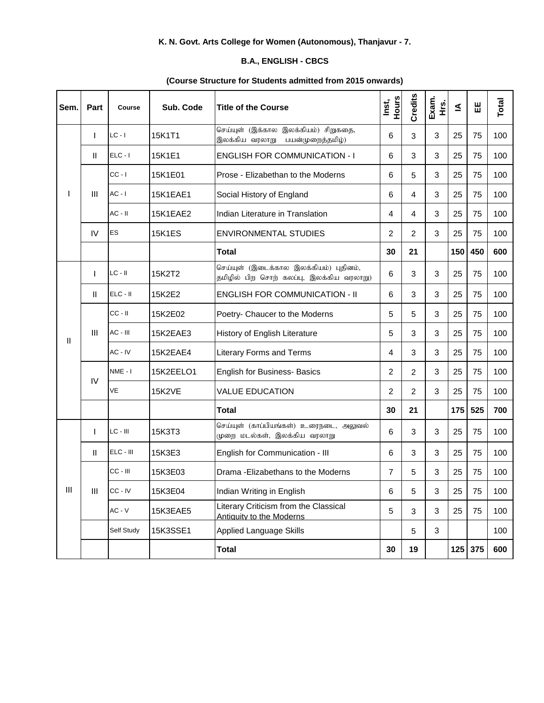## **K. N. Govt. Arts College for Women (Autonomous), Thanjavur - 7.**

## **B.A., ENGLISH - CBCS**

## **(Course Structure for Students admitted from 2015 onwards)**

| Sem.           | <b>Part</b>        | Course      | Sub. Code       | <b>Title of the Course</b>                                                         | Hours<br>Inst, | Credits        | Exam.<br>ά.<br>Η | ₹   | 出       | Total |
|----------------|--------------------|-------------|-----------------|------------------------------------------------------------------------------------|----------------|----------------|------------------|-----|---------|-------|
|                |                    | $LC - I$    | 15K1T1          | செய்யுள் (இக்கால இலக்கியம்) சிறுகதை,<br>இலக்கிய வரலாறு<br>பயன்முறைத்தமிழ்)         | 6              | 3              | 3                | 25  | 75      | 100   |
|                | $\mathbf{H}$       | $ELC - I$   | 15K1E1          | <b>ENGLISH FOR COMMUNICATION - I</b>                                               | 6              | 3              | 3                | 25  | 75      | 100   |
|                | Ш                  | $CC - I$    | 15K1E01         | Prose - Elizabethan to the Moderns                                                 | 6              | 5              | 3                | 25  | 75      | 100   |
|                |                    | $AC - I$    | <b>15K1EAE1</b> | Social History of England                                                          | 6              | 4              | 3                | 25  | 75      | 100   |
|                |                    | $AC - II$   | 15K1EAE2        | Indian Literature in Translation                                                   | 4              | 4              | 3                | 25  | 75      | 100   |
|                | IV                 | ES          | <b>15K1ES</b>   | <b>ENVIRONMENTAL STUDIES</b>                                                       | $\overline{c}$ | $\overline{2}$ | 3                | 25  | 75      | 100   |
|                |                    |             |                 | <b>Total</b>                                                                       | 30             | 21             |                  | 150 | 450     | 600   |
| Ш              |                    | $LC - II$   | 15K2T2          | செய்யுள் (இடைக்கால இலக்கியம்) புதினம்,<br>தமிழில் பிற சொற் கலப்பு, இலக்கிய வரலாறு) | 6              | 3              | 3                | 25  | 75      | 100   |
|                | $\mathbf{H}$       | ELC - II    | 15K2E2          | <b>ENGLISH FOR COMMUNICATION - II</b>                                              | 6              | 3              | 3                | 25  | 75      | 100   |
|                | Ш                  | $CC - II$   | 15K2E02         | Poetry- Chaucer to the Moderns                                                     | 5              | 5              | 3                | 25  | 75      | 100   |
|                |                    | AC - III    | 15K2EAE3        | History of English Literature                                                      | 5              | 3              | 3                | 25  | 75      | 100   |
|                |                    | AC - IV     | 15K2EAE4        | <b>Literary Forms and Terms</b>                                                    | 4              | 3              | 3                | 25  | 75      | 100   |
|                | IV                 | NME-I       | 15K2EELO1       | <b>English for Business- Basics</b>                                                | 2              | $\overline{2}$ | 3                | 25  | 75      | 100   |
|                |                    | VE          | <b>15K2VE</b>   | <b>VALUE EDUCATION</b>                                                             | 2              | $\overline{2}$ | 3                | 25  | 75      | 100   |
|                |                    |             |                 | Total                                                                              | 30             | 21             |                  | 175 | 525     | 700   |
|                |                    | $LC - III$  | 15K3T3          | செய்யுள் (காப்பியங்கள்) உரைநடை, அலுவல்<br>முறை மடல்கள், இலக்கிய வரலாறு             | 6              | 3              | 3                | 25  | 75      | 100   |
|                | $\mathbf{H}$       | $ELC - III$ | 15K3E3          | English for Communication - III                                                    | 6              | 3              | 3                | 25  | 75      | 100   |
|                | $\mathop{\rm III}$ | $CC - III$  | 15K3E03         | Drama - Elizabethans to the Moderns                                                | 7              | 5              | 3                | 25  | 75      | 100   |
| $\mathbf{III}$ |                    | CC - IV     | 15K3E04         | Indian Writing in English                                                          | 6              | 5              | 3                | 25  | 75      | 100   |
|                |                    | $AC - V$    | 15K3EAE5        | Literary Criticism from the Classical<br><b>Antiquity to the Moderns</b>           | 5              | 3              | 3                | 25  | 75      | 100   |
|                |                    | Self Study  | 15K3SSE1        | <b>Applied Language Skills</b>                                                     |                | 5              | 3                |     |         | 100   |
|                |                    |             |                 | Total                                                                              | 30             | 19             |                  |     | 125 375 | 600   |